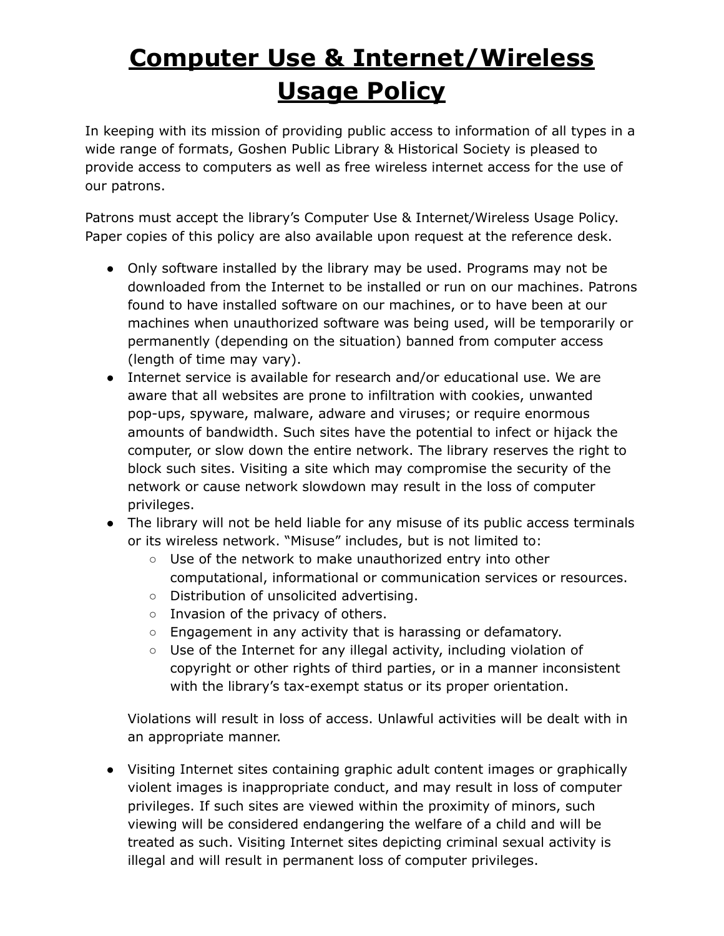## **Computer Use & Internet/Wireless Usage Policy**

In keeping with its mission of providing public access to information of all types in a wide range of formats, Goshen Public Library & Historical Society is pleased to provide access to computers as well as free wireless internet access for the use of our patrons.

Patrons must accept the library's Computer Use & Internet/Wireless Usage Policy. Paper copies of this policy are also available upon request at the reference desk.

- Only software installed by the library may be used. Programs may not be downloaded from the Internet to be installed or run on our machines. Patrons found to have installed software on our machines, or to have been at our machines when unauthorized software was being used, will be temporarily or permanently (depending on the situation) banned from computer access (length of time may vary).
- Internet service is available for research and/or educational use. We are aware that all websites are prone to infiltration with cookies, unwanted pop-ups, spyware, malware, adware and viruses; or require enormous amounts of bandwidth. Such sites have the potential to infect or hijack the computer, or slow down the entire network. The library reserves the right to block such sites. Visiting a site which may compromise the security of the network or cause network slowdown may result in the loss of computer privileges.
- The library will not be held liable for any misuse of its public access terminals or its wireless network. "Misuse" includes, but is not limited to:
	- Use of the network to make unauthorized entry into other computational, informational or communication services or resources.
	- Distribution of unsolicited advertising.
	- Invasion of the privacy of others.
	- Engagement in any activity that is harassing or defamatory.
	- Use of the Internet for any illegal activity, including violation of copyright or other rights of third parties, or in a manner inconsistent with the library's tax-exempt status or its proper orientation.

Violations will result in loss of access. Unlawful activities will be dealt with in an appropriate manner.

● Visiting Internet sites containing graphic adult content images or graphically violent images is inappropriate conduct, and may result in loss of computer privileges. If such sites are viewed within the proximity of minors, such viewing will be considered endangering the welfare of a child and will be treated as such. Visiting Internet sites depicting criminal sexual activity is illegal and will result in permanent loss of computer privileges.